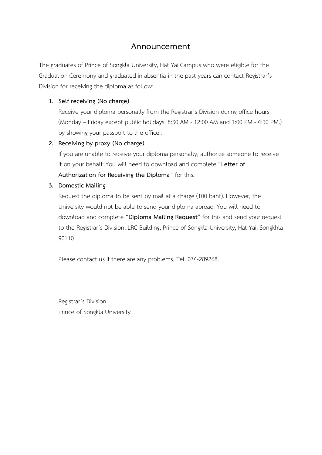### **Announcement**

The graduates of Prince of Songkla University, Hat Yai Campus who were eligible for the Graduation Ceremony and graduated in absentia in the past years can contact Registrar's Division for receiving the diploma as follow:

#### **1. Self receiving (No charge)**

Receive your diploma personally from the Registrar's Division during office hours (Monday – Friday except public holidays, 8:30 AM - 12:00 AM and 1:00 PM - 4:30 PM.) by showing your passport to the officer.

#### **2. Receiving by proxy (No charge)**

If you are unable to receive your diploma personally, authorize someone to receive it on your behalf. You will need to download and complete "**Letter of Authorization for Receiving the Diploma**" for this.

#### **3. Domestic Mailing**

Request the diploma to be sent by mail at a charge (100 baht). However, the University would not be able to send your diploma abroad. You will need to download and complete "**Diploma Mailing Request**" for this and send your request to the Registrar's Division, LRC Building, Prince of Songkla University, Hat Yai, Songkhla 90110

Please contact us if there are any problems, Tel. 074-289268.

Registrar's Division Prince of Songkla University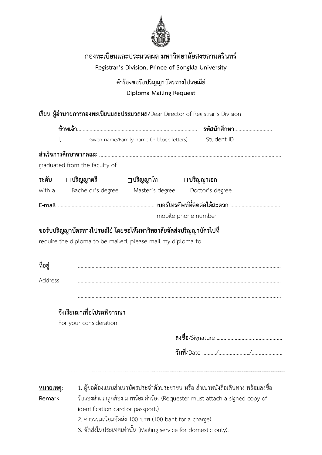

## **กองทะเบียนและประมวลผล มหาวิทยาลัยสงขลานครินทร์**

**Registrar's Division, Prince of Songkla University**

## **ค าร้องขอรับปริญญาบัตรทางไปรษณีย์ Diploma Mailing Request**

เรียน ผู้อำนวยการกองทะเบียนและประมวลผล/Dear Director of Registrar's Division **ข้าพเจ้า**...................................................................................... **รหัสนักศึกษา**........................... I, Given name/Family name (in block letters) Student ID **ส าเร็จการศึกษาจากคณะ** .................................................................................................................................. graduated from the faculty of **ระดับ ปริญญาตรี ปริญญาโท ปริญญาเอก**  with a Bachelor's degree Master's degree Doctor's degree **E-mail** ………………………………………...........………….. **เบอร์โทรศัพท์ที่ติดต่อได้สะดวก** ……………………………… mobile phone number **ขอรับปริญญาบัตรทางไปรษณีย์โดยขอให้มหาวิทยาลัยจัดส่งปริญญาบัตรไปที่** require the diploma to be mailed, please mail my diploma to

**ที่อยู่** ………………………………………………………………………………………………………………………………… Address …………………………………………………………………………………………………………………………………

### **จึงเรียนมาเพื่อโปรดพิจารณา**

For your consideration

**ลงชื่อ**/Signature ...............................................

**วันที่**/Date / /

**หมายเหตุ**: 1. ผู้ขอต้องแนบส ำเนำบัตรประจ ำตัวประชำชน หรือ ส ำเนำหนังสือเดินทำง พร้อมลงชื่อ **Remark** รับรองสำเนาถูกต้อง มาพร้อมคำร้อง (Requester must attach a signed copy of identification card or passport.) 2. ค่ำธรรมเนียมจัดส่ง 100 บำท (100 baht for a charge). 3. จัดส่งในประเทศเท่ำนั้น (Mailing service for domestic only).